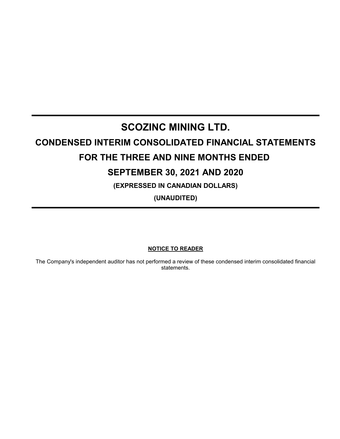# **SCOZINC MINING LTD.**

# **CONDENSED INTERIM CONSOLIDATED FINANCIAL STATEMENTS**

# **FOR THE THREE AND NINE MONTHS ENDED**

# **SEPTEMBER 30, 2021 AND 2020**

**(EXPRESSED IN CANADIAN DOLLARS)**

**(UNAUDITED)**

**NOTICE TO READER**

The Company's independent auditor has not performed a review of these condensed interim consolidated financial statements.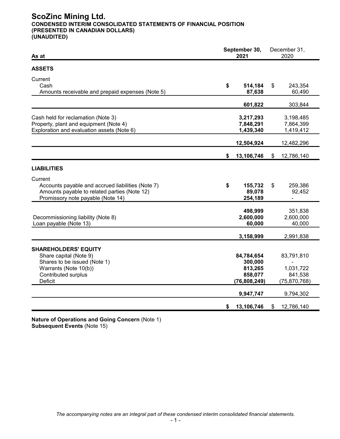# **ScoZinc Mining Ltd. CONDENSED INTERIM CONSOLIDATED STATEMENTS OF FINANCIAL POSITION (PRESENTED IN CANADIAN DOLLARS) (UNAUDITED)**

| As at                                                                                                                                                          |    | September 30,<br>2021                                         | December 31,<br>2020                                 |
|----------------------------------------------------------------------------------------------------------------------------------------------------------------|----|---------------------------------------------------------------|------------------------------------------------------|
| <b>ASSETS</b>                                                                                                                                                  |    |                                                               |                                                      |
| Current<br>Cash<br>Amounts receivable and prepaid expenses (Note 5)                                                                                            | \$ | 514,184<br>87,638                                             | \$<br>243,354<br>60,490                              |
|                                                                                                                                                                |    | 601,822                                                       | 303,844                                              |
| Cash held for reclamation (Note 3)<br>Property, plant and equipment (Note 4)<br>Exploration and evaluation assets (Note 6)                                     |    | 3,217,293<br>7,848,291<br>1,439,340                           | 3,198,485<br>7,864,399<br>1,419,412                  |
|                                                                                                                                                                |    | 12,504,924                                                    | 12,482,296                                           |
|                                                                                                                                                                | \$ | 13,106,746                                                    | \$<br>12,786,140                                     |
| <b>LIABILITIES</b>                                                                                                                                             |    |                                                               |                                                      |
| Current<br>Accounts payable and accrued liabilities (Note 7)<br>Amounts payable to related parties (Note 12)<br>Promissory note payable (Note 14)              | \$ | 155,732<br>89,078<br>254,189                                  | \$<br>259,386<br>92,452                              |
| Decommissioning liability (Note 8)<br>Loan payable (Note 13)                                                                                                   |    | 498,999<br>2,600,000<br>60,000                                | 351,838<br>2,600,000<br>40,000                       |
|                                                                                                                                                                |    | 3,158,999                                                     | 2,991,838                                            |
| <b>SHAREHOLDERS' EQUITY</b><br>Share capital (Note 9)<br>Shares to be issued (Note 1)<br>Warrants (Note 10(b))<br><b>Contributed surplus</b><br><b>Deficit</b> |    | 84,784,654<br>300,000<br>813,265<br>858,077<br>(76, 808, 249) | 83,791,810<br>1,031,722<br>841,538<br>(75, 870, 768) |
|                                                                                                                                                                |    | 9,947,747                                                     | 9,794,302                                            |
|                                                                                                                                                                | \$ | 13,106,746                                                    | \$<br>12,786,140                                     |

**Nature of Operations and Going Concern** (Note 1) **Subsequent Events** (Note 15)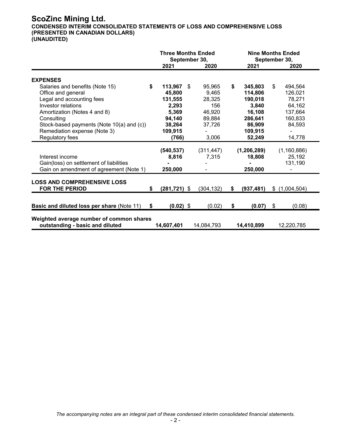# **ScoZinc Mining Ltd.**

**CONDENSED INTERIM CONSOLIDATED STATEMENTS OF LOSS AND COMPREHENSIVE LOSS (PRESENTED IN CANADIAN DOLLARS)**

|                                                                             | <b>Three Months Ended</b><br>September 30, |            | <b>Nine Months Ended</b><br>September 30, |    |               |
|-----------------------------------------------------------------------------|--------------------------------------------|------------|-------------------------------------------|----|---------------|
|                                                                             | 2021                                       | 2020       | 2021                                      |    | 2020          |
| <b>EXPENSES</b>                                                             |                                            |            |                                           |    |               |
| Salaries and benefits (Note 15)                                             | \$<br>113,967<br>-\$                       | 95,965     | \$<br>345,803                             | \$ | 494,564       |
| Office and general                                                          | 45,800                                     | 9,465      | 114,806                                   |    | 126,021       |
| Legal and accounting fees                                                   | 131,555                                    | 28,325     | 190,018                                   |    | 78,271        |
| Investor relations                                                          | 2,293                                      | 156        | 3,840                                     |    | 64,162        |
| Amortization (Notes 4 and 8)                                                | 5,369                                      | 46,920     | 16,108                                    |    | 137,664       |
| Consulting                                                                  | 94,140                                     | 89,884     | 286,641                                   |    | 160,833       |
| Stock-based payments (Note 10(a) and (c))                                   | 38,264                                     | 37,726     | 86,909                                    |    | 84,593        |
| Remediation expense (Note 3)                                                | 109,915                                    |            | 109,915                                   |    |               |
| Regulatory fees                                                             | (766)                                      | 3,006      | 52,249                                    |    | 14,778        |
|                                                                             | (540,537)                                  | (311, 447) | (1, 206, 289)                             |    | (1,160,886)   |
| Interest income                                                             | 8,816                                      | 7,315      | 18,808                                    |    | 25,192        |
| Gain(loss) on settlement of liabilities                                     |                                            |            |                                           |    | 131,190       |
| Gain on amendment of agreement (Note 1)                                     | 250,000                                    |            | 250,000                                   |    |               |
| <b>LOSS AND COMPREHENSIVE LOSS</b>                                          |                                            |            |                                           |    |               |
| FOR THE PERIOD                                                              | \$<br>$(281, 721)$ \$                      | (304, 132) | \$<br>(937, 481)                          |    | \$(1,004,504) |
| <b>Basic and diluted loss per share (Note 11)</b>                           | \$<br>$(0.02)$ \$                          | (0.02)     | \$<br>$(0.07)$ \$                         |    | (0.08)        |
| Weighted average number of common shares<br>outstanding - basic and diluted | 14,607,401                                 | 14,084,793 | 14,410,899                                |    | 12,220,785    |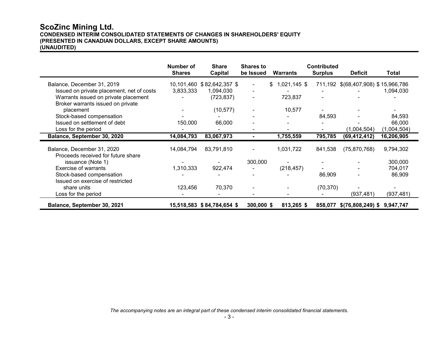# **ScoZinc Mining Ltd. CONDENSED INTERIM CONSOLIDATED STATEMENTS OF CHANGES IN SHAREHOLDERS' EQUITY (PRESENTED IN CANADIAN DOLLARS, EXCEPT SHARE AMOUNTS) (UNAUDITED)**

|                                           | Number of<br><b>Shares</b> | <b>Share</b><br>Capital    | <b>Shares to</b><br>be Issued | <b>Warrants</b> | <b>Contributed</b><br><b>Surplus</b> | <b>Deficit</b>                      | Total       |
|-------------------------------------------|----------------------------|----------------------------|-------------------------------|-----------------|--------------------------------------|-------------------------------------|-------------|
| Balance, December 31, 2019                |                            | 10,101,460 \$82,642,357 \$ |                               | $$1,021,145$ \$ |                                      | 711,192 \$(68,407,908) \$15,966,786 |             |
| Issued on private placement, net of costs | 3,833,333                  | 1,094,030                  |                               |                 |                                      |                                     | 1,094,030   |
| Warrants issued on private placement      |                            | (723, 837)                 |                               | 723,837         |                                      |                                     |             |
| Broker warrants issued on private         |                            |                            |                               |                 |                                      |                                     |             |
| placement                                 |                            | (10, 577)                  |                               | 10,577          |                                      |                                     |             |
| Stock-based compensation                  |                            |                            |                               |                 | 84,593                               |                                     | 84,593      |
| Issued on settlement of debt              | 150,000                    | 66,000                     |                               |                 |                                      |                                     | 66,000      |
| Loss for the period                       |                            |                            |                               |                 |                                      | (1,004,504)                         | (1,004,504) |
| Balance, September 30, 2020               | 14,084,793                 | 83,067,973                 |                               | 1,755,559       | 795,785                              | (69, 412, 412)                      | 16,206,905  |
| Balance, December 31, 2020                | 14,084,794                 | 83,791,810                 |                               | 1,031,722       | 841,538                              | (75, 870, 768)                      | 9,794,302   |
| Proceeds received for future share        |                            |                            |                               |                 |                                      |                                     |             |
| issuance (Note 1)                         |                            |                            | 300,000                       |                 |                                      |                                     | 300,000     |
| <b>Exercise of warrants</b>               | 1,310,333                  | 922,474                    |                               | (218, 457)      |                                      |                                     | 704,017     |
| Stock-based compensation                  |                            |                            |                               |                 | 86,909                               |                                     | 86,909      |
| Issued on exercise of restricted          |                            |                            |                               |                 |                                      |                                     |             |
| share units                               | 123,456                    | 70,370                     |                               |                 | (70, 370)                            |                                     |             |
| Loss for the period                       |                            |                            |                               |                 |                                      | (937, 481)                          | (937, 481)  |
| Balance, September 30, 2021               |                            | 15,518,583 \$84,784,654 \$ | $300,000$ \$                  | 813,265 \$      | 858,077                              | \$(76,808,249) \$9,947,747          |             |

*The accompanying notes are an integral part of these condensed interim consolidated financial statements.*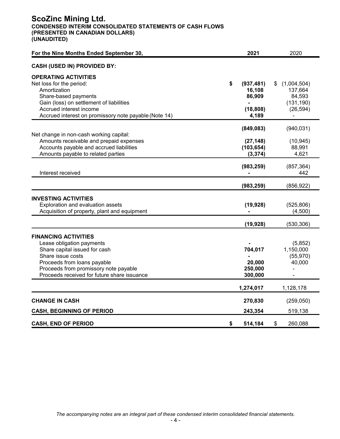# **ScoZinc Mining Ltd. CONDENSED INTERIM CONSOLIDATED STATEMENTS OF CASH FLOWS (PRESENTED IN CANADIAN DOLLARS) (UNAUDITED)**

| For the Nine Months Ended September 30,                                                                                                                                                                                               | 2021                                                       | 2020                                                              |
|---------------------------------------------------------------------------------------------------------------------------------------------------------------------------------------------------------------------------------------|------------------------------------------------------------|-------------------------------------------------------------------|
| <b>CASH (USED IN) PROVIDED BY:</b>                                                                                                                                                                                                    |                                                            |                                                                   |
| <b>OPERATING ACTIVITIES</b><br>Net loss for the period:<br>Amortization<br>Share-based payments<br>Gain (loss) on settlement of liabilities<br>Accrued interest income<br>Accrued interest on promissory note payable (Note 14)       | \$<br>(937, 481)<br>16,108<br>86,909<br>(18, 808)<br>4,189 | (1,004,504)<br>\$<br>137,664<br>84,593<br>(131, 190)<br>(26, 594) |
| Net change in non-cash working capital:<br>Amounts receivable and prepaid expenses<br>Accounts payable and accrued liabilities<br>Amounts payable to related parties                                                                  | (849, 083)<br>(27, 148)<br>(103, 654)<br>(3, 374)          | (940, 031)<br>(10, 945)<br>88,991<br>4,621                        |
| Interest received                                                                                                                                                                                                                     | (983, 259)                                                 | (857, 364)<br>442                                                 |
|                                                                                                                                                                                                                                       | (983, 259)                                                 | (856, 922)                                                        |
| <b>INVESTING ACTIVITIES</b><br>Exploration and evaluation assets<br>Acquisition of property, plant and equipment                                                                                                                      | (19, 928)<br>(19, 928)                                     | (525, 806)<br>(4,500)<br>(530, 306)                               |
| <b>FINANCING ACTIVITIES</b><br>Lease obligation payments<br>Share capital issued for cash<br>Share issue costs<br>Proceeds from loans payable<br>Proceeds from promissory note payable<br>Proceeds received for future share issuance | 704,017<br>20,000<br>250,000<br>300,000                    | (5,852)<br>1,150,000<br>(55, 970)<br>40,000                       |
|                                                                                                                                                                                                                                       | 1,274,017                                                  | 1,128,178                                                         |
| <b>CHANGE IN CASH</b><br><b>CASH, BEGINNING OF PERIOD</b>                                                                                                                                                                             | 270,830<br>243,354                                         | (259, 050)<br>519,138                                             |
| <b>CASH, END OF PERIOD</b>                                                                                                                                                                                                            | \$<br>514,184                                              | \$<br>260,088                                                     |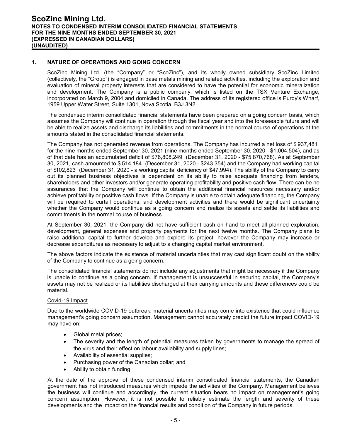# **1. NATURE OF OPERATIONS AND GOING CONCERN**

ScoZinc Mining Ltd. (the "Company" or "ScoZinc"), and its wholly owned subsidiary ScoZinc Limited (collectively, the "Group") is engaged in base metals mining and related activities, including the exploration and evaluation of mineral property interests that are considered to have the potential for economic mineralization and development. The Company is a public company, which is listed on the TSX Venture Exchange, incorporated on March 9, 2004 and domiciled in Canada. The address of its registered office is Purdy's Wharf, 1959 Upper Water Street, Suite 1301, Nova Scotia, B3J 3N2.

The condensed interim consolidated financial statements have been prepared on a going concern basis, which assumes the Company will continue in operation through the fiscal year and into the foreseeable future and will be able to realize assets and discharge its liabilities and commitments in the normal course of operations at the amounts stated in the consolidated financial statements.

The Company has not generated revenue from operations. The Company has incurred a net loss of \$ 937,481 for the nine months ended September 30, 2021 (nine months ended September 30, 2020 - \$1,004,504), and as of that date has an accumulated deficit of \$76,808,249 (December 31, 2020 - \$75,870,768). As at September 30, 2021, cash amounted to \$ 514,184 (December 31, 2020 - \$243,354) and the Company had working capital of \$102,823 (December 31, 2020 - a working capital deficiency of \$47,994). The ability of the Company to carry out its planned business objectives is dependent on its ability to raise adequate financing from lenders, shareholders and other investors and/or generate operating profitability and positive cash flow. There can be no assurances that the Company will continue to obtain the additional financial resources necessary and/or achieve profitability or positive cash flows. If the Company is unable to obtain adequate financing, the Company will be required to curtail operations, and development activities and there would be significant uncertainty whether the Company would continue as a going concern and realize its assets and settle its liabilities and commitments in the normal course of business.

At September 30, 2021, the Company did not have sufficient cash on hand to meet all planned exploration, development, general expenses and property payments for the next twelve months. The Company plans to raise additional capital to further develop and explore its project, however the Company may increase or decrease expenditures as necessary to adjust to a changing capital market environment.

The above factors indicate the existence of material uncertainties that may cast significant doubt on the ability of the Company to continue as a going concern.

The consolidated financial statements do not include any adjustments that might be necessary if the Company is unable to continue as a going concern. If management is unsuccessful in securing capital, the Company's assets may not be realized or its liabilities discharged at their carrying amounts and these differences could be material.

# Covid-19 Impact

Due to the worldwide COVID-19 outbreak, material uncertainties may come into existence that could influence management's going concern assumption. Management cannot accurately predict the future impact COVID-19 may have on:

- Global metal prices;
- The severity and the length of potential measures taken by governments to manage the spread of the virus and their effect on labour availability and supply lines;
- Availability of essential supplies;
- Purchasing power of the Canadian dollar; and
- Ability to obtain funding

At the date of the approval of these condensed interim consolidated financial statements, the Canadian government has not introduced measures which impede the activities of the Company. Management believes the business will continue and accordingly, the current situation bears no impact on management's going concern assumption. However, it is not possible to reliably estimate the length and severity of these developments and the impact on the financial results and condition of the Company in future periods.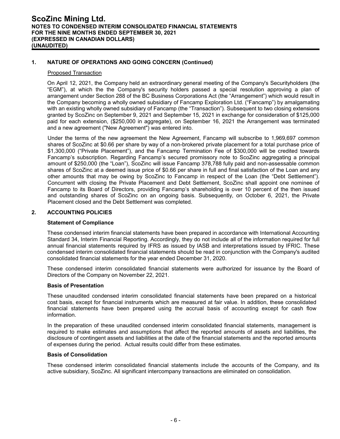# **1. NATURE OF OPERATIONS AND GOING CONCERN (Continued)**

#### Proposed Transaction

On April 12, 2021, the Company held an extraordinary general meeting of the Company's Securityholders (the "EGM"), at which the the Company's security holders passed a special resolution approving a plan of arrangement under Section 288 of the BC Business Corporations Act (the "Arrangement") which would result in the Company becoming a wholly owned subsidiary of Fancamp Exploration Ltd. ("Fancamp") by amalgamating with an existing wholly owned subsidiary of Fancamp (the "Transaction"). Subsequent to two closing extensions granted by ScoZinc on September 9, 2021 and September 15, 2021 in exchange for consideration of \$125,000 paid for each extension, (\$250,000 in aggregate), on September 16, 2021 the Arrangement was terminated and a new agreement ("New Agreement") was entered into.

Under the terms of the new agreement the New Agreement, Fancamp will subscribe to 1,969,697 common shares of ScoZinc at \$0.66 per share by way of a non-brokered private placement for a total purchase price of \$1,300,000 ("Private Placement"), and the Fancamp Termination Fee of \$300,000 will be credited towards Fancamp's subscription. Regarding Fancamp's secured promissory note to ScoZinc aggregating a principal amount of \$250,000 (the "Loan"), ScoZinc will issue Fancamp 378,788 fully paid and non-assessable common shares of ScoZinc at a deemed issue price of \$0.66 per share in full and final satisfaction of the Loan and any other amounts that may be owing by ScoZinc to Fancamp in respect of the Loan (the "Debt Settlement"). Concurrent with closing the Private Placement and Debt Settlement, ScoZinc shall appoint one nominee of Fancamp to its Board of Directors, providing Fancamp's shareholding is over 10 percent of the then issued and outstanding shares of ScoZinc on an ongoing basis. Subsequently, on October 6, 2021, the Private Placement closed and the Debt Settlement was completed.

# **2. ACCOUNTING POLICIES**

# **Statement of Compliance**

These condensed interim financial statements have been prepared in accordance with International Accounting Standard 34, Interim Financial Reporting. Accordingly, they do not include all of the information required for full annual financial statements required by IFRS as issued by IASB and interpretations issued by IFRIC. These condensed interim consolidated financial statements should be read in conjunction with the Company's audited consolidated financial statements for the year ended December 31, 2020.

These condensed interim consolidated financial statements were authorized for issuance by the Board of Directors of the Company on November 22, 2021.

# **Basis of Presentation**

These unaudited condensed interim consolidated financial statements have been prepared on a historical cost basis, except for financial instruments which are measured at fair value. In addition, these consolidated financial statements have been prepared using the accrual basis of accounting except for cash flow information.

In the preparation of these unaudited condensed interim consolidated financial statements, management is required to make estimates and assumptions that affect the reported amounts of assets and liabilities, the disclosure of contingent assets and liabilities at the date of the financial statements and the reported amounts of expenses during the period. Actual results could differ from these estimates.

#### **Basis of Consolidation**

These condensed interim consolidated financial statements include the accounts of the Company, and its active subsidiary, ScoZinc. All significant intercompany transactions are eliminated on consolidation.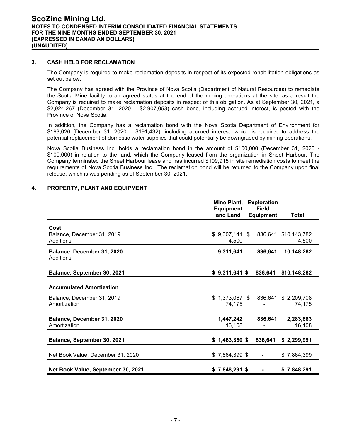# **3. CASH HELD FOR RECLAMATION**

The Company is required to make reclamation deposits in respect of its expected rehabilitation obligations as set out below.

The Company has agreed with the Province of Nova Scotia (Department of Natural Resources) to remediate the Scotia Mine facility to an agreed status at the end of the mining operations at the site; as a result the Company is required to make reclamation deposits in respect of this obligation. As at September 30, 2021, a \$2,924,267 (December 31, 2020 – \$2,907,053) cash bond, including accrued interest, is posted with the Province of Nova Scotia.

In addition, the Company has a reclamation bond with the Nova Scotia Department of Environment for \$193,026 (December 31, 2020 – \$191,432), including accrued interest, which is required to address the potential replacement of domestic water supplies that could potentially be downgraded by mining operations.

Nova Scotia Business Inc. holds a reclamation bond in the amount of \$100,000 (December 31, 2020 - \$100,000) in relation to the land, which the Company leased from the organization in Sheet Harbour. The Company terminated the Sheet Harbour lease and has incurred \$109,915 in site remediation costs to meet the requirements of Nova Scotia Business Inc. The reclamation bond will be returned to the Company upon final release, which is was pending as of September 30, 2021.

# **4. PROPERTY, PLANT AND EQUIPMENT**

|                                            | Mine Plant,<br><b>Equipment</b> | <b>Exploration</b><br><b>Field</b> |                                |
|--------------------------------------------|---------------------------------|------------------------------------|--------------------------------|
|                                            | and Land                        | <b>Equipment</b>                   | <b>Total</b>                   |
| Cost                                       |                                 |                                    |                                |
| Balance, December 31, 2019<br>Additions    | $$9,307,141$ \$<br>4,500        | 836,641                            | \$10,143,782<br>4,500          |
| Balance, December 31, 2020<br>Additions    | 9,311,641                       | 836,641                            | 10,148,282                     |
| Balance, September 30, 2021                | $$9,311,641$ \$                 | 836,641                            | \$10,148,282                   |
| <b>Accumulated Amortization</b>            |                                 |                                    |                                |
| Balance, December 31, 2019<br>Amortization | $$1,373,067$ \$<br>74,175       |                                    | 836,641 \$ 2,209,708<br>74,175 |
| Balance, December 31, 2020<br>Amortization | 1,447,242<br>16,108             | 836,641                            | 2,283,883<br>16,108            |
| Balance, September 30, 2021                | $$1,463,350$ \$                 | 836,641                            | \$2,299,991                    |
| Net Book Value, December 31, 2020          | $$7,864,399$ \$                 | $\qquad \qquad \blacksquare$       | \$7,864,399                    |
| Net Book Value, September 30, 2021         | $$7,848,291$ \$                 |                                    | \$7,848,291                    |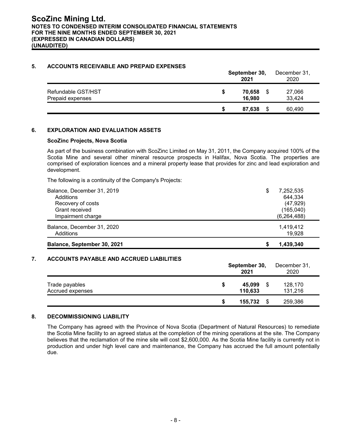# **5. ACCOUNTS RECEIVABLE AND PREPAID EXPENSES**

|                                        | September 30,<br>2021 |                  |    | December 31,<br>2020 |  |
|----------------------------------------|-----------------------|------------------|----|----------------------|--|
| Refundable GST/HST<br>Prepaid expenses | S                     | 70,658<br>16,980 |    | 27,066<br>33,424     |  |
|                                        | S                     | 87,638           | \$ | 60,490               |  |

# **6. EXPLORATION AND EVALUATION ASSETS**

# **ScoZinc Projects, Nova Scotia**

As part of the business combination with ScoZinc Limited on May 31, 2011, the Company acquired 100% of the Scotia Mine and several other mineral resource prospects in Halifax, Nova Scotia. The properties are comprised of exploration licences and a mineral property lease that provides for zinc and lead exploration and development.

The following is a continuity of the Company's Projects:

| Balance, September 30, 2021 | 1.439.340<br>S  |
|-----------------------------|-----------------|
| Additions                   | 19.928          |
| Balance, December 31, 2020  | 1,419,412       |
| Impairment charge           | (6, 264, 488)   |
| Grant received              | (165, 040)      |
| Recovery of costs           | (47, 929)       |
| Additions                   | 644,334         |
| Balance, December 31, 2019  | \$<br>7,252,535 |

# **7. ACCOUNTS PAYABLE AND ACCRUED LIABILITIES**

|                                    | September 30,<br>2021 |                   |    | December 31,<br>2020 |
|------------------------------------|-----------------------|-------------------|----|----------------------|
| Trade payables<br>Accrued expenses | S                     | 45,099<br>110,633 | S  | 128,170<br>131,216   |
|                                    | S                     | 155,732           | \$ | 259,386              |

# **8. DECOMMISSIONING LIABILITY**

The Company has agreed with the Province of Nova Scotia (Department of Natural Resources) to remediate the Scotia Mine facility to an agreed status at the completion of the mining operations at the site. The Company believes that the reclamation of the mine site will cost \$2,600,000. As the Scotia Mine facility is currently not in production and under high level care and maintenance, the Company has accrued the full amount potentially due.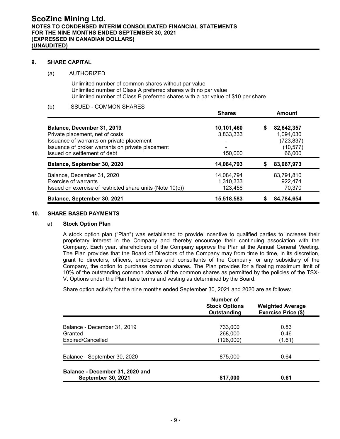# **9. SHARE CAPITAL**

# (a) AUTHORIZED

Unlimited number of common shares without par value Unlimited number of Class A preferred shares with no par value Unlimited number of Class B preferred shares with a par value of \$10 per share

(b) ISSUED - COMMON SHARES

|                                                           | <b>Shares</b> |   | <b>Amount</b> |
|-----------------------------------------------------------|---------------|---|---------------|
| Balance, December 31, 2019                                | 10,101,460    | S | 82,642,357    |
| Private placement, net of costs                           | 3,833,333     |   | 1,094,030     |
| Issuance of warrants on private placement                 |               |   | (723, 837)    |
| Issuance of broker warrants on private placement          |               |   | (10, 577)     |
| Issued on settlement of debt                              | 150.000       |   | 66,000        |
| Balance, September 30, 2020                               | 14,084,793    |   | 83,067,973    |
| Balance, December 31, 2020                                | 14,084,794    |   | 83,791,810    |
| Exercise of warrants                                      | 1,310,333     |   | 922,474       |
| Issued on exercise of restricted share units (Note 10(c)) | 123,456       |   | 70.370        |
| Balance, September 30, 2021                               | 15,518,583    |   | 84,784,654    |

# **10. SHARE BASED PAYMENTS**

#### a) **Stock Option Plan**

A stock option plan ("Plan") was established to provide incentive to qualified parties to increase their proprietary interest in the Company and thereby encourage their continuing association with the Company. Each year, shareholders of the Company approve the Plan at the Annual General Meeting. The Plan provides that the Board of Directors of the Company may from time to time, in its discretion, grant to directors, officers, employees and consultants of the Company, or any subsidiary of the Company, the option to purchase common shares. The Plan provides for a floating maximum limit of 10% of the outstanding common shares of the common shares as permitted by the policies of the TSX-V. Options under the Plan have terms and vesting as determined by the Board.

Share option activity for the nine months ended September 30, 2021 and 2020 are as follows:

|                                                              | Number of<br><b>Stock Options</b><br>Outstanding | <b>Weighted Average</b><br><b>Exercise Price (\$)</b> |
|--------------------------------------------------------------|--------------------------------------------------|-------------------------------------------------------|
| Balance - December 31, 2019<br>Granted<br>Expired/Cancelled  | 733,000<br>268,000<br>(126,000)                  | 0.83<br>0.46<br>(1.61)                                |
| Balance - September 30, 2020                                 | 875,000                                          | 0.64                                                  |
| Balance - December 31, 2020 and<br><b>September 30, 2021</b> | 817,000                                          | 0.61                                                  |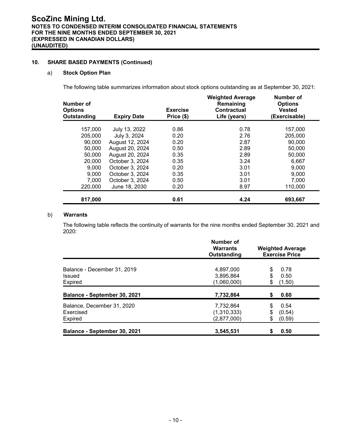# **10. SHARE BASED PAYMENTS (Continued)**

# a) **Stock Option Plan**

The following table summarizes information about stock options outstanding as at September 30, 2021:

| Number of<br><b>Options</b><br>Outstanding | <b>Expiry Date</b> | <b>Exercise</b><br>Price (\$) | <b>Weighted Average</b><br>Remaining<br><b>Contractual</b><br>Life (years) | Number of<br><b>Options</b><br><b>Vested</b><br>(Exercisable) |
|--------------------------------------------|--------------------|-------------------------------|----------------------------------------------------------------------------|---------------------------------------------------------------|
| 157,000                                    | July 13, 2022      | 0.86                          | 0.78                                                                       | 157,000                                                       |
| 205,000                                    | July 3, 2024       | 0.20                          | 2.76                                                                       | 205,000                                                       |
| 90,000                                     | August 12, 2024    | 0.20                          | 2.87                                                                       | 90,000                                                        |
| 50,000                                     | August 20, 2024    | 0.50                          | 2.89                                                                       | 50,000                                                        |
| 50,000                                     | August 20, 2024    | 0.35                          | 2.89                                                                       | 50,000                                                        |
| 20,000                                     | October 3, 2024    | 0.35                          | 3.24                                                                       | 6,667                                                         |
| 9,000                                      | October 3, 2024    | 0.20                          | 3.01                                                                       | 9,000                                                         |
| 9,000                                      | October 3, 2024    | 0.35                          | 3.01                                                                       | 9,000                                                         |
| 7,000                                      | October 3, 2024    | 0.50                          | 3.01                                                                       | 7,000                                                         |
| 220,000                                    | June 18, 2030      | 0.20                          | 8.97                                                                       | 110,000                                                       |
| 817,000                                    |                    | 0.61                          | 4.24                                                                       | 693,667                                                       |

# b) **Warrants**

The following table reflects the continuity of warrants for the nine months ended September 30, 2021 and 2020:

|                                                    | Number of<br><b>Warrants</b><br>Outstanding | <b>Weighted Average</b><br><b>Exercise Price</b> |                          |  |
|----------------------------------------------------|---------------------------------------------|--------------------------------------------------|--------------------------|--|
| Balance - December 31, 2019<br>Issued<br>Expired   | 4.897.000<br>3,895,864<br>(1,060,000)       | \$<br>\$                                         | 0.78<br>0.50<br>(1.50)   |  |
| Balance - September 30, 2021                       | 7,732,864                                   | \$                                               | 0.60                     |  |
| Balance, December 31, 2020<br>Exercised<br>Expired | 7,732,864<br>(1,310,333)<br>(2,877,000)     | \$<br>\$<br>\$                                   | 0.54<br>(0.54)<br>(0.59) |  |
| Balance - September 30, 2021                       | 3,545,531                                   | \$                                               | 0.50                     |  |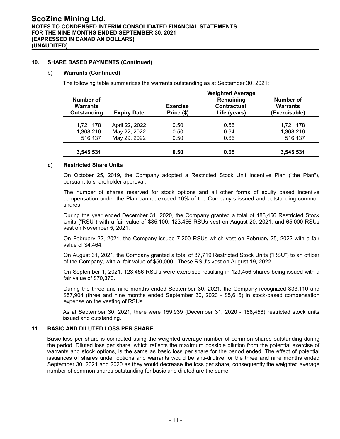# **10. SHARE BASED PAYMENTS (Continued)**

#### b) **Warrants (Continued)**

The following table summarizes the warrants outstanding as at September 30, 2021:

| Number of<br><b>Warrants</b><br>Outstanding | <b>Expiry Date</b> | <b>Exercise</b><br>Price (\$) | <b>Weighted Average</b><br>Remaining<br>Contractual<br>Life (years) | Number of<br><b>Warrants</b><br>(Exercisable) |
|---------------------------------------------|--------------------|-------------------------------|---------------------------------------------------------------------|-----------------------------------------------|
| 1,721,178                                   | April 22, 2022     | 0.50                          | 0.56                                                                | 1,721,178                                     |
| 1,308,216                                   | May 22, 2022       | 0.50                          | 0.64                                                                | 1,308,216                                     |
| 516,137                                     | May 29, 2022       | 0.50                          | 0.66                                                                | 516,137                                       |
|                                             |                    |                               |                                                                     |                                               |
| 3,545,531                                   |                    | 0.50                          | 0.65                                                                | 3,545,531                                     |

#### **c**) **Restricted Share Units**

On October 25, 2019, the Company adopted a Restricted Stock Unit Incentive Plan ("the Plan"), pursuant to shareholder approval.

The number of shares reserved for stock options and all other forms of equity based incentive compensation under the Plan cannot exceed 10% of the Company`s issued and outstanding common shares.

During the year ended December 31, 2020, the Company granted a total of 188,456 Restricted Stock Units ("RSU") with a fair value of \$85,100. 123,456 RSUs vest on August 20, 2021, and 65,000 RSUs vest on November 5, 2021.

On February 22, 2021, the Company issued 7,200 RSUs which vest on February 25, 2022 with a fair value of \$4,464.

On August 31, 2021, the Company granted a total of 87,719 Restricted Stock Units ("RSU") to an officer of the Company, with a fair value of \$50,000. These RSU's vest on August 19, 2022.

On September 1, 2021, 123,456 RSU's were exercised resulting in 123,456 shares being issued with a fair value of \$70,370.

During the three and nine months ended September 30, 2021, the Company recognized \$33,110 and \$57,904 (three and nine months ended September 30, 2020 - \$5,616) in stock-based compensation expense on the vesting of RSUs.

As at September 30, 2021, there were 159,939 (December 31, 2020 - 188,456) restricted stock units issued and outstanding.

# **11. BASIC AND DILUTED LOSS PER SHARE**

Basic loss per share is computed using the weighted average number of common shares outstanding during the period. Diluted loss per share, which reflects the maximum possible dilution from the potential exercise of warrants and stock options, is the same as basic loss per share for the period ended. The effect of potential issuances of shares under options and warrants would be anti-dilutive for the three and nine months ended September 30, 2021 and 2020 as they would decrease the loss per share, consequently the weighted average number of common shares outstanding for basic and diluted are the same.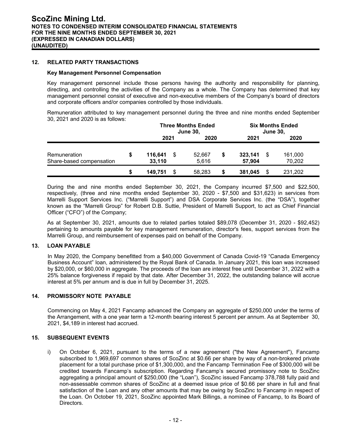# **12. RELATED PARTY TRANSACTIONS**

#### **Key Management Personnel Compensation**

Key management personnel include those persons having the authority and responsibility for planning, directing, and controlling the activities of the Company as a whole. The Company has determined that key management personnel consist of executive and non-executive members of the Company's board of directors and corporate officers and/or companies controlled by those individuals.

Remuneration attributed to key management personnel during the three and nine months ended September 30, 2021 and 2020 is as follows:

|                                          |   | <b>Three Months Ended</b><br><b>June 30,</b> |  |                 | <b>Six Months Ended</b><br><b>June 30,</b> |                   |   |                   |  |
|------------------------------------------|---|----------------------------------------------|--|-----------------|--------------------------------------------|-------------------|---|-------------------|--|
|                                          |   | 2021                                         |  | 2020            |                                            | 2021              |   | 2020              |  |
| Remuneration<br>Share-based compensation |   | 116,641<br>33,110                            |  | 52.667<br>5.616 | S                                          | 323,141<br>57.904 | S | 161,000<br>70,202 |  |
|                                          | S | 149,751                                      |  | 58.283          | S                                          | 381,045           | S | 231,202           |  |

During the and nine months ended September 30, 2021, the Company incurred \$7,500 and \$22,500, respectively, (three and nine months ended September 30, 2020 - \$7,500 and \$31,623) in services from Marrelli Support Services Inc. ("Marrelli Support") and DSA Corporate Services Inc. (the "DSA"), together known as the "Marrelli Group" for Robert D.B. Suttie, President of Marrelli Support, to act as Chief Financial Officer ("CFO") of the Company;

As at September 30, 2021, amounts due to related parties totaled \$89,078 (December 31, 2020 - \$92,452) pertaining to amounts payable for key management remuneration, director's fees, support services from the Marrelli Group, and reimbursement of expenses paid on behalf of the Company.

# **13. LOAN PAYABLE**

In May 2020, the Company benefitted from a \$40,000 Government of Canada Covid-19 "Canada Emergency Business Account" loan, administered by the Royal Bank of Canada. In January 2021, this loan was increased by \$20,000, or \$60,000 in aggregate. The proceeds of the loan are interest free until December 31, 2022 with a 25% balance forgiveness if repaid by that date. After December 31, 2022, the outstanding balance will accrue interest at 5% per annum and is due in full by December 31, 2025.

# **14. PROMISSORY NOTE PAYABLE**

Commencing on May 4, 2021 Fancamp advanced the Company an aggregate of \$250,000 under the terms of the Arrangement, with a one year term a 12-month bearing interest 5 percent per annum. As at September 30, 2021, \$4,189 in interest had accrued.

# **15. SUBSEQUENT EVENTS**

i) On October 6, 2021, pursuant to the terms of a new agreement ("the New Agreement"), Fancamp subscribed to 1,969,697 common shares of ScoZinc at \$0.66 per share by way of a non-brokered private placement for a total purchase price of \$1,300,000, and the Fancamp Termination Fee of \$300,000 will be credited towards Fancamp's subscription. Regarding Fancamp's secured promissory note to ScoZinc aggregating a principal amount of \$250,000 (the "Loan"), ScoZinc issued Fancamp 378,788 fully paid and non-assessable common shares of ScoZinc at a deemed issue price of \$0.66 per share in full and final satisfaction of the Loan and any other amounts that may be owing by ScoZinc to Fancamp in respect of the Loan. On October 19, 2021, ScoZinc appointed Mark Billings, a nominee of Fancamp, to its Board of Directors.